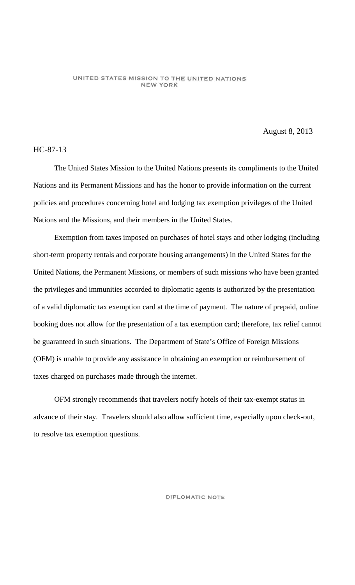#### UNITED STATES MISSION TO THE UNITED NATIONS **NEW YORK**

August 8, 2013

# HC-87-13

The United States Mission to the United Nations presents its compliments to the United Nations and its Permanent Missions and has the honor to provide information on the current policies and procedures concerning hotel and lodging tax exemption privileges of the United Nations and the Missions, and their members in the United States.

Exemption from taxes imposed on purchases of hotel stays and other lodging (including short-term property rentals and corporate housing arrangements) in the United States for the United Nations, the Permanent Missions, or members of such missions who have been granted the privileges and immunities accorded to diplomatic agents is authorized by the presentation of a valid diplomatic tax exemption card at the time of payment. The nature of prepaid, online booking does not allow for the presentation of a tax exemption card; therefore, tax relief cannot be guaranteed in such situations. The Department of State's Office of Foreign Missions (OFM) is unable to provide any assistance in obtaining an exemption or reimbursement of taxes charged on purchases made through the internet.

OFM strongly recommends that travelers notify hotels of their tax-exempt status in advance of their stay. Travelers should also allow sufficient time, especially upon check-out, to resolve tax exemption questions.

### DIPLOMATIC NOTE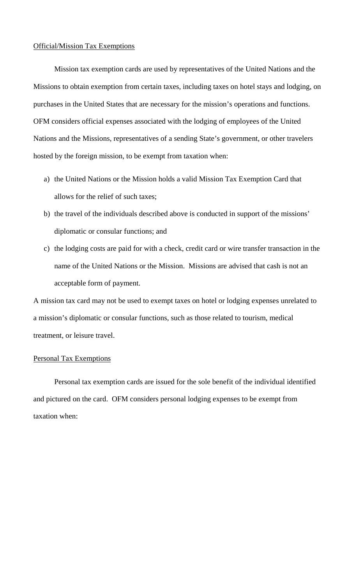## Official/Mission Tax Exemptions

Mission tax exemption cards are used by representatives of the United Nations and the Missions to obtain exemption from certain taxes, including taxes on hotel stays and lodging, on purchases in the United States that are necessary for the mission's operations and functions. OFM considers official expenses associated with the lodging of employees of the United Nations and the Missions, representatives of a sending State's government, or other travelers hosted by the foreign mission, to be exempt from taxation when:

- a) the United Nations or the Mission holds a valid Mission Tax Exemption Card that allows for the relief of such taxes;
- b) the travel of the individuals described above is conducted in support of the missions' diplomatic or consular functions; and
- c) the lodging costs are paid for with a check, credit card or wire transfer transaction in the name of the United Nations or the Mission. Missions are advised that cash is not an acceptable form of payment.

A mission tax card may not be used to exempt taxes on hotel or lodging expenses unrelated to a mission's diplomatic or consular functions, such as those related to tourism, medical treatment, or leisure travel.

# Personal Tax Exemptions

Personal tax exemption cards are issued for the sole benefit of the individual identified and pictured on the card. OFM considers personal lodging expenses to be exempt from taxation when: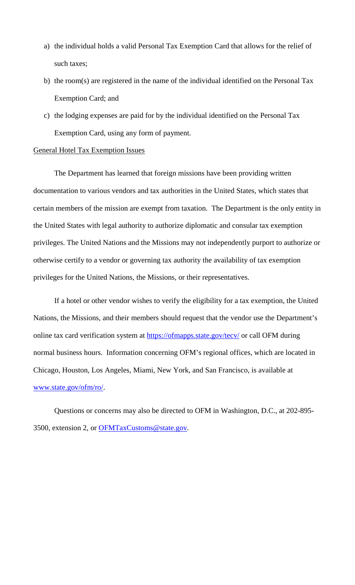- a) the individual holds a valid Personal Tax Exemption Card that allows for the relief of such taxes;
- b) the room(s) are registered in the name of the individual identified on the Personal Tax Exemption Card; and
- c) the lodging expenses are paid for by the individual identified on the Personal Tax Exemption Card, using any form of payment.

# General Hotel Tax Exemption Issues

The Department has learned that foreign missions have been providing written documentation to various vendors and tax authorities in the United States, which states that certain members of the mission are exempt from taxation. The Department is the only entity in the United States with legal authority to authorize diplomatic and consular tax exemption privileges. The United Nations and the Missions may not independently purport to authorize or otherwise certify to a vendor or governing tax authority the availability of tax exemption privileges for the United Nations, the Missions, or their representatives.

If a hotel or other vendor wishes to verify the eligibility for a tax exemption, the United Nations, the Missions, and their members should request that the vendor use the Department's online tax card verification system at<https://ofmapps.state.gov/tecv/> or call OFM during normal business hours. Information concerning OFM's regional offices, which are located in Chicago, Houston, Los Angeles, Miami, New York, and San Francisco, is available at [www.state.gov/ofm/ro/.](http://www.state.gov/ofm/ro/)

Questions or concerns may also be directed to OFM in Washington, D.C., at 202-895- 3500, extension 2, or [OFMTaxCustoms@state.gov.](mailto:OFMTaxCustoms@state.gov)